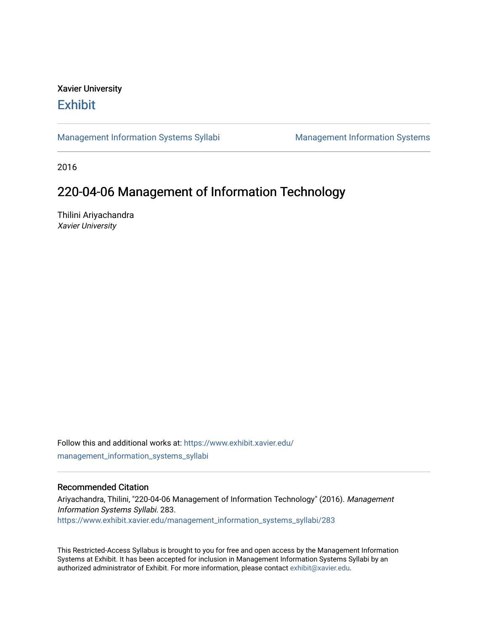## Xavier University **Exhibit**

[Management Information Systems Syllabi](https://www.exhibit.xavier.edu/management_information_systems_syllabi) Management Information Systems

2016

# 220-04-06 Management of Information Technology

Thilini Ariyachandra Xavier University

Follow this and additional works at: [https://www.exhibit.xavier.edu/](https://www.exhibit.xavier.edu/management_information_systems_syllabi?utm_source=www.exhibit.xavier.edu%2Fmanagement_information_systems_syllabi%2F283&utm_medium=PDF&utm_campaign=PDFCoverPages) [management\\_information\\_systems\\_syllabi](https://www.exhibit.xavier.edu/management_information_systems_syllabi?utm_source=www.exhibit.xavier.edu%2Fmanagement_information_systems_syllabi%2F283&utm_medium=PDF&utm_campaign=PDFCoverPages) 

#### Recommended Citation

Ariyachandra, Thilini, "220-04-06 Management of Information Technology" (2016). Management Information Systems Syllabi. 283. [https://www.exhibit.xavier.edu/management\\_information\\_systems\\_syllabi/283](https://www.exhibit.xavier.edu/management_information_systems_syllabi/283?utm_source=www.exhibit.xavier.edu%2Fmanagement_information_systems_syllabi%2F283&utm_medium=PDF&utm_campaign=PDFCoverPages) 

This Restricted-Access Syllabus is brought to you for free and open access by the Management Information Systems at Exhibit. It has been accepted for inclusion in Management Information Systems Syllabi by an authorized administrator of Exhibit. For more information, please contact [exhibit@xavier.edu](mailto:exhibit@xavier.edu).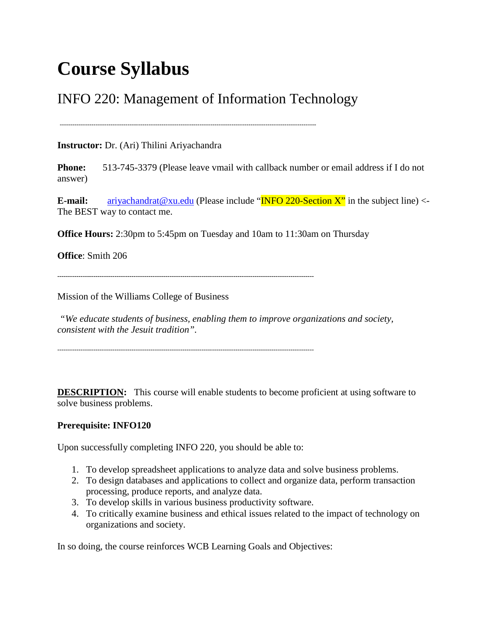# **Course Syllabus**

# INFO 220: Management of Information Technology

-------------------------------------------------------------------------------------------------------------------------

**Instructor:** Dr. (Ari) Thilini Ariyachandra

**Phone:** 513-745-3379 (Please leave vmail with callback number or email address if I do not answer)

**E-mail:**  $\frac{\text{ariyachandrat}\omega \times \text{u.edu}}{\text{m}\omega}$  (Please include " $\frac{\text{N}}{\text{m}\omega}$  220-Section X" in the subject line) <-The BEST way to contact me.

**Office Hours:** 2:30pm to 5:45pm on Tuesday and 10am to 11:30am on Thursday

**Office**: Smith 206

Mission of the Williams College of Business

*"We educate students of business, enabling them to improve organizations and society, consistent with the Jesuit tradition".*

**DESCRIPTION:** This course will enable students to become proficient at using software to solve business problems.

#### **Prerequisite: INFO120**

Upon successfully completing INFO 220, you should be able to:

- 1. To develop spreadsheet applications to analyze data and solve business problems.
- 2. To design databases and applications to collect and organize data, perform transaction processing, produce reports, and analyze data.
- 3. To develop skills in various business productivity software.
- 4. To critically examine business and ethical issues related to the impact of technology on organizations and society.

In so doing, the course reinforces WCB Learning Goals and Objectives: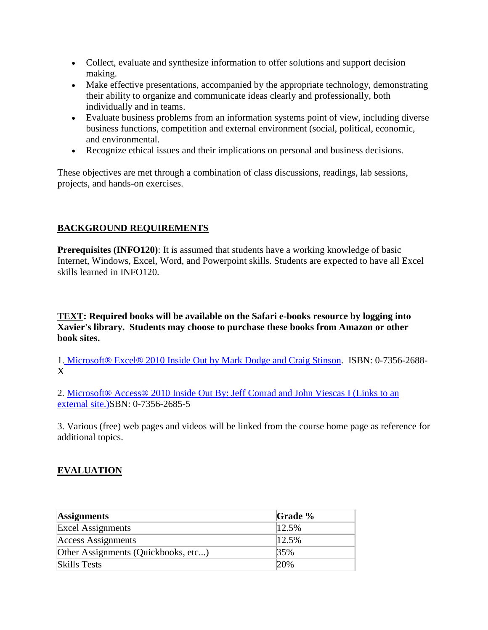- Collect, evaluate and synthesize information to offer solutions and support decision making.
- Make effective presentations, accompanied by the appropriate technology, demonstrating their ability to organize and communicate ideas clearly and professionally, both individually and in teams.
- Evaluate business problems from an information systems point of view, including diverse business functions, competition and external environment (social, political, economic, and environmental.
- Recognize ethical issues and their implications on personal and business decisions.

These objectives are met through a combination of class discussions, readings, lab sessions, projects, and hands-on exercises.

## **BACKGROUND REQUIREMENTS**

**Prerequisites (INFO120)**: It is assumed that students have a working knowledge of basic Internet, Windows, Excel, Word, and Powerpoint skills. Students are expected to have all Excel skills learned in INFO120.

**TEXT: Required books will be available on the Safari e-books resource by logging into Xavier's library. Students may choose to purchase these books from Amazon or other book sites.**

1. [Microsoft® Excel® 2010 Inside Out by Mark Dodge and Craig Stinson.](http://proquest.safaribooksonline.com.nocdbproxy.xavier.edu/book/office-and-productivity-applications/9780735647824) ISBN: 0-7356-2688- X

2. [Microsoft® Access® 2010 Inside Out By: Jeff Conrad and John Viescas I](http://proquest.safaribooksonline.com/book/databases-and-reporting-tools/9780735649132?bookview=overview) (Links to an [external site.\)S](http://proquest.safaribooksonline.com/book/databases-and-reporting-tools/9780735649132?bookview=overview)BN: 0-7356-2685-5

3. Various (free) web pages and videos will be linked from the course home page as reference for additional topics.

## **EVALUATION**

| <b>Assignments</b>                  | Grade $%$ |
|-------------------------------------|-----------|
| <b>Excel Assignments</b>            | 12.5%     |
| <b>Access Assignments</b>           | 12.5%     |
| Other Assignments (Quickbooks, etc) | 35%       |
| <b>Skills Tests</b>                 | 20%       |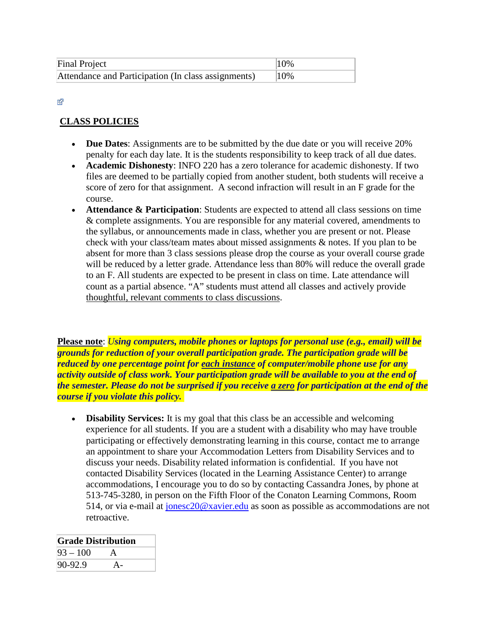| Final Project                                       | $10\%$ |
|-----------------------------------------------------|--------|
| Attendance and Participation (In class assignments) | 10%    |

#### Ń.

#### **CLASS POLICIES**

- **Due Dates**: Assignments are to be submitted by the due date or you will receive 20% penalty for each day late. It is the students responsibility to keep track of all due dates.
- **Academic Dishonesty**: INFO 220 has a zero tolerance for academic dishonesty. If two files are deemed to be partially copied from another student, both students will receive a score of zero for that assignment. A second infraction will result in an F grade for the course.
- **Attendance & Participation**: Students are expected to attend all class sessions on time & complete assignments. You are responsible for any material covered, amendments to the syllabus, or announcements made in class, whether you are present or not. Please check with your class/team mates about missed assignments & notes. If you plan to be absent for more than 3 class sessions please drop the course as your overall course grade will be reduced by a letter grade. Attendance less than 80% will reduce the overall grade to an F. All students are expected to be present in class on time. Late attendance will count as a partial absence. "A" students must attend all classes and actively provide thoughtful, relevant comments to class discussions.

**Please note**: *Using computers, mobile phones or laptops for personal use (e.g., email) will be grounds for reduction of your overall participation grade. The participation grade will be reduced by one percentage point for each instance of computer/mobile phone use for any activity outside of class work. Your participation grade will be available to you at the end of the semester. Please do not be surprised if you receive a zero for participation at the end of the course if you violate this policy.* 

• **Disability Services:** It is my goal that this class be an accessible and welcoming experience for all students. If you are a student with a disability who may have trouble participating or effectively demonstrating learning in this course, contact me to arrange an appointment to share your Accommodation Letters from Disability Services and to discuss your needs. Disability related information is confidential. If you have not contacted Disability Services (located in the Learning Assistance Center) to arrange accommodations, I encourage you to do so by contacting Cassandra Jones, by phone at 513-745-3280, in person on the Fifth Floor of the Conaton Learning Commons, Room 514, or via e-mail at [jonesc20@xavier.edu](mailto:jonesc20@xavier.edu) as soon as possible as accommodations are not retroactive.

| <b>Grade Distribution</b> |  |  |
|---------------------------|--|--|
| $93 - 100$                |  |  |
| 90-92.9                   |  |  |